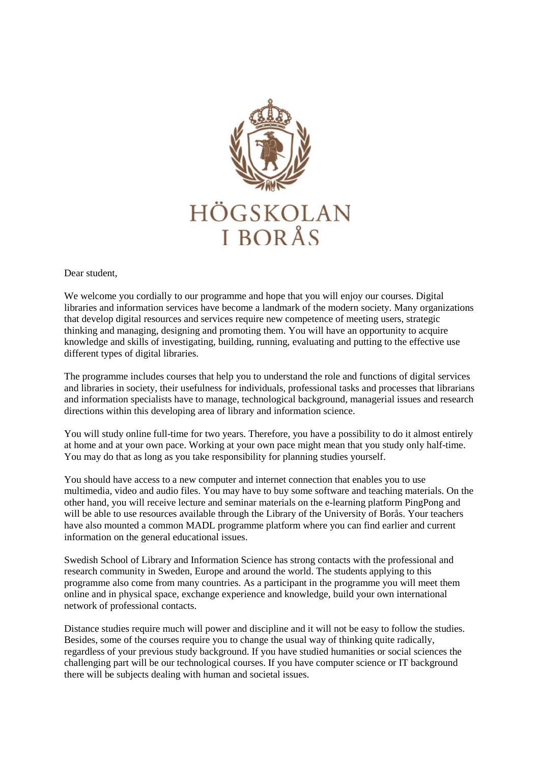

Dear student,

We welcome you cordially to our programme and hope that you will enjoy our courses. Digital libraries and information services have become a landmark of the modern society. Many organizations that develop digital resources and services require new competence of meeting users, strategic thinking and managing, designing and promoting them. You will have an opportunity to acquire knowledge and skills of investigating, building, running, evaluating and putting to the effective use different types of digital libraries.

The programme includes courses that help you to understand the role and functions of digital services and libraries in society, their usefulness for individuals, professional tasks and processes that librarians and information specialists have to manage, technological background, managerial issues and research directions within this developing area of library and information science.

You will study online full-time for two years. Therefore, you have a possibility to do it almost entirely at home and at your own pace. Working at your own pace might mean that you study only half-time. You may do that as long as you take responsibility for planning studies yourself.

You should have access to a new computer and internet connection that enables you to use multimedia, video and audio files. You may have to buy some software and teaching materials. On the other hand, you will receive lecture and seminar materials on the e-learning platform PingPong and will be able to use resources available through the Library of the University of Borås. Your teachers have also mounted a common MADL programme platform where you can find earlier and current information on the general educational issues.

Swedish School of Library and Information Science has strong contacts with the professional and research community in Sweden, Europe and around the world. The students applying to this programme also come from many countries. As a participant in the programme you will meet them online and in physical space, exchange experience and knowledge, build your own international network of professional contacts.

Distance studies require much will power and discipline and it will not be easy to follow the studies. Besides, some of the courses require you to change the usual way of thinking quite radically, regardless of your previous study background. If you have studied humanities or social sciences the challenging part will be our technological courses. If you have computer science or IT background there will be subjects dealing with human and societal issues.